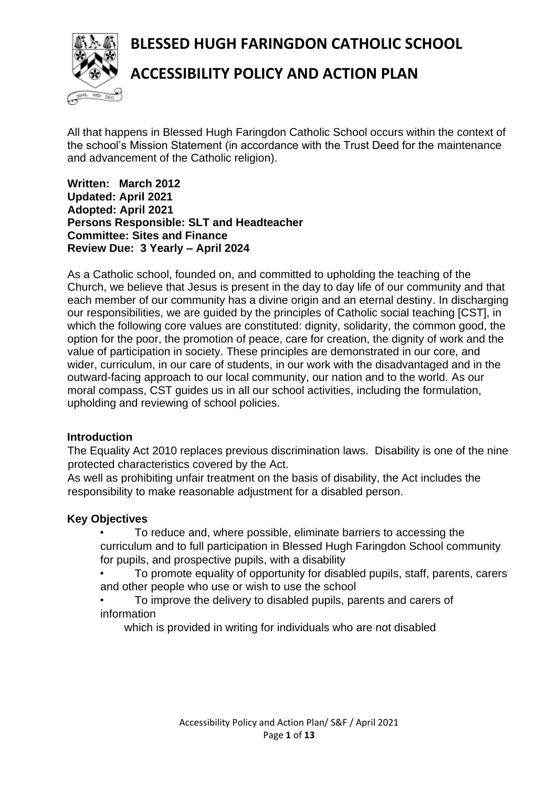**BLESSED HUGH FARINGDON CATHOLIC SCHOOL**



# **ACCESSIBILITY POLICY AND ACTION PLAN**

All that happens in Blessed Hugh Faringdon Catholic School occurs within the context of the school's Mission Statement (in accordance with the Trust Deed for the maintenance and advancement of the Catholic religion).

**Written: March 2012 Updated: April 2021 Adopted: April 2021 Persons Responsible: SLT and Headteacher Committee: Sites and Finance Review Due: 3 Yearly – April 2024**

As a Catholic school, founded on, and committed to upholding the teaching of the Church, we believe that Jesus is present in the day to day life of our community and that each member of our community has a divine origin and an eternal destiny. In discharging our responsibilities, we are guided by the principles of Catholic social teaching [CST], in which the following core values are constituted: dignity, solidarity, the common good, the option for the poor, the promotion of peace, care for creation, the dignity of work and the value of participation in society. These principles are demonstrated in our core, and wider, curriculum, in our care of students, in our work with the disadvantaged and in the outward-facing approach to our local community, our nation and to the world. As our moral compass, CST guides us in all our school activities, including the formulation, upholding and reviewing of school policies.

### **Introduction**

The Equality Act 2010 replaces previous discrimination laws. Disability is one of the nine protected characteristics covered by the Act.

As well as prohibiting unfair treatment on the basis of disability, the Act includes the responsibility to make reasonable adjustment for a disabled person.

### **Key Objectives**

• To reduce and, where possible, eliminate barriers to accessing the curriculum and to full participation in Blessed Hugh Faringdon School community for pupils, and prospective pupils, with a disability

- To promote equality of opportunity for disabled pupils, staff, parents, carers and other people who use or wish to use the school
- To improve the delivery to disabled pupils, parents and carers of information

which is provided in writing for individuals who are not disabled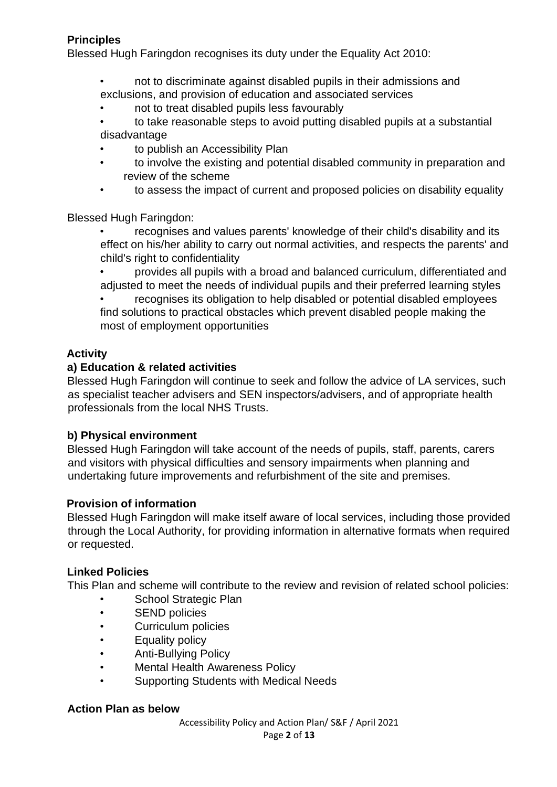## **Principles**

Blessed Hugh Faringdon recognises its duty under the Equality Act 2010:

- not to discriminate against disabled pupils in their admissions and exclusions, and provision of education and associated services
- not to treat disabled pupils less favourably
- to take reasonable steps to avoid putting disabled pupils at a substantial disadvantage
- to publish an Accessibility Plan
- to involve the existing and potential disabled community in preparation and review of the scheme
- to assess the impact of current and proposed policies on disability equality

Blessed Hugh Faringdon:

- recognises and values parents' knowledge of their child's disability and its effect on his/her ability to carry out normal activities, and respects the parents' and child's right to confidentiality
- provides all pupils with a broad and balanced curriculum, differentiated and adjusted to meet the needs of individual pupils and their preferred learning styles

• recognises its obligation to help disabled or potential disabled employees find solutions to practical obstacles which prevent disabled people making the most of employment opportunities

## **Activity**

#### **a) Education & related activities**

Blessed Hugh Faringdon will continue to seek and follow the advice of LA services, such as specialist teacher advisers and SEN inspectors/advisers, and of appropriate health professionals from the local NHS Trusts.

### **b) Physical environment**

Blessed Hugh Faringdon will take account of the needs of pupils, staff, parents, carers and visitors with physical difficulties and sensory impairments when planning and undertaking future improvements and refurbishment of the site and premises.

### **Provision of information**

Blessed Hugh Faringdon will make itself aware of local services, including those provided through the Local Authority, for providing information in alternative formats when required or requested.

#### **Linked Policies**

This Plan and scheme will contribute to the review and revision of related school policies:

- School Strategic Plan
- SEND policies
- Curriculum policies
- Equality policy
- Anti-Bullying Policy
- Mental Health Awareness Policy
- Supporting Students with Medical Needs

#### **Action Plan as below**

Accessibility Policy and Action Plan/ S&F / April 2021 Page **2** of **13**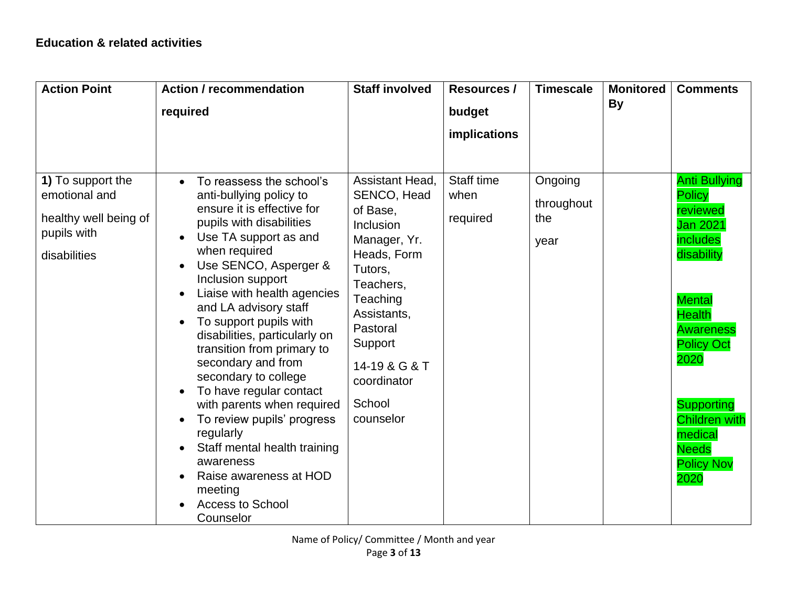| <b>Action Point</b>                                                                        | <b>Action / recommendation</b><br>required                                                                                                                                                                                                                                                                                                                                                                                                                                                                                                                                                                                                                   | <b>Staff involved</b>                                                                                                                                                                                                   | <b>Resources /</b><br>budget<br>implications | <b>Timescale</b>                     | <b>Monitored</b><br>By | <b>Comments</b>                                                                                                                                                                                                                                                                        |
|--------------------------------------------------------------------------------------------|--------------------------------------------------------------------------------------------------------------------------------------------------------------------------------------------------------------------------------------------------------------------------------------------------------------------------------------------------------------------------------------------------------------------------------------------------------------------------------------------------------------------------------------------------------------------------------------------------------------------------------------------------------------|-------------------------------------------------------------------------------------------------------------------------------------------------------------------------------------------------------------------------|----------------------------------------------|--------------------------------------|------------------------|----------------------------------------------------------------------------------------------------------------------------------------------------------------------------------------------------------------------------------------------------------------------------------------|
| 1) To support the<br>emotional and<br>healthy well being of<br>pupils with<br>disabilities | To reassess the school's<br>anti-bullying policy to<br>ensure it is effective for<br>pupils with disabilities<br>Use TA support as and<br>$\bullet$<br>when required<br>Use SENCO, Asperger &<br>Inclusion support<br>Liaise with health agencies<br>and LA advisory staff<br>To support pupils with<br>disabilities, particularly on<br>transition from primary to<br>secondary and from<br>secondary to college<br>To have regular contact<br>$\bullet$<br>with parents when required<br>To review pupils' progress<br>regularly<br>Staff mental health training<br>awareness<br>Raise awareness at HOD<br>meeting<br><b>Access to School</b><br>Counselor | Assistant Head,<br>SENCO, Head<br>of Base,<br>Inclusion<br>Manager, Yr.<br>Heads, Form<br>Tutors,<br>Teachers,<br>Teaching<br>Assistants,<br>Pastoral<br>Support<br>14-19 & G & T<br>coordinator<br>School<br>counselor | Staff time<br>when<br>required               | Ongoing<br>throughout<br>the<br>year |                        | <b>Anti Bullying</b><br><b>Policy</b><br>reviewed<br><b>Jan 2021</b><br>includes<br>disability<br><b>Mental</b><br><b>Health</b><br><b>Awareness</b><br><b>Policy Oct</b><br>2020<br><b>Supporting</b><br><b>Children with</b><br>medical<br><b>Needs</b><br><b>Policy Nov</b><br>2020 |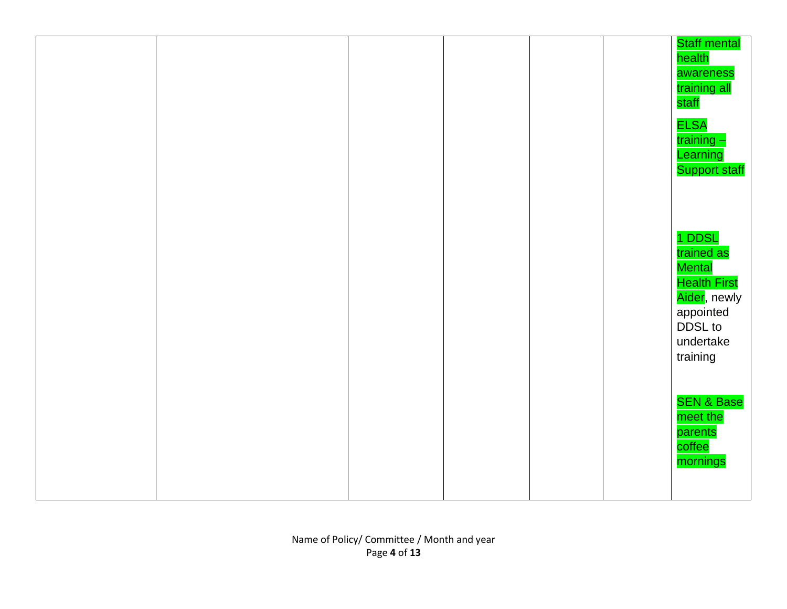|  |  |  | <b>Staff mental</b><br>health<br>awareness<br>training all<br>staff<br><b>ELSA</b><br>training -<br>Learning<br><b>Support staff</b> |
|--|--|--|--------------------------------------------------------------------------------------------------------------------------------------|
|  |  |  | 1 DDSL<br>trained as<br>Mental<br><b>Health First</b><br>Aider, newly<br>appointed<br>DDSL to<br>undertake<br>training               |
|  |  |  | <b>SEN &amp; Base</b><br>meet the<br>parents<br>coffee<br>mornings                                                                   |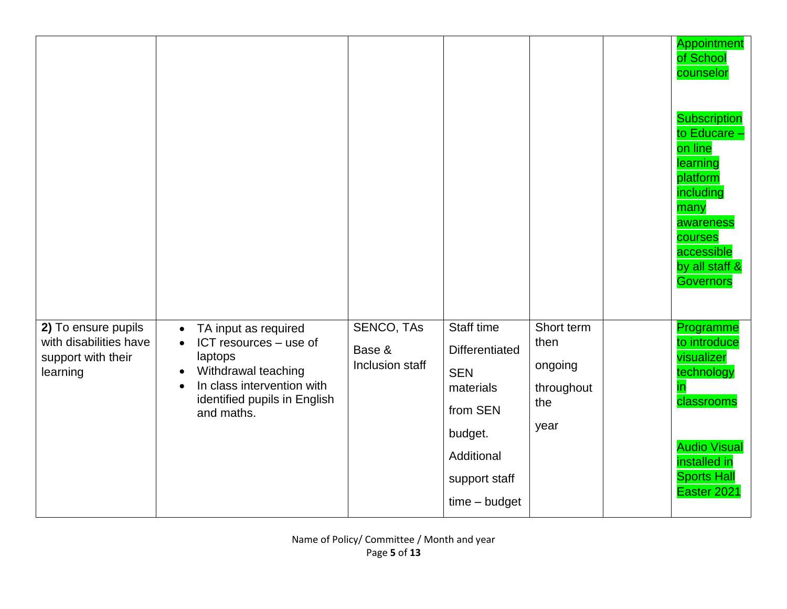|                                                                                 |                                                                                                                                                                                                     |                                                |                                                                                                                                         |                                                            | Appointment<br>of School<br>counselor<br><b>Subscription</b><br>to Educare -<br>on line<br>learning<br>platform<br>including<br>many<br>awareness<br>courses<br>accessible<br>by all staff &<br><b>Governors</b> |
|---------------------------------------------------------------------------------|-----------------------------------------------------------------------------------------------------------------------------------------------------------------------------------------------------|------------------------------------------------|-----------------------------------------------------------------------------------------------------------------------------------------|------------------------------------------------------------|------------------------------------------------------------------------------------------------------------------------------------------------------------------------------------------------------------------|
| 2) To ensure pupils<br>with disabilities have<br>support with their<br>learning | TA input as required<br>$\bullet$<br>ICT resources - use of<br>laptops<br>Withdrawal teaching<br>$\bullet$<br>In class intervention with<br>$\bullet$<br>identified pupils in English<br>and maths. | <b>SENCO, TAS</b><br>Base &<br>Inclusion staff | Staff time<br><b>Differentiated</b><br><b>SEN</b><br>materials<br>from SEN<br>budget.<br>Additional<br>support staff<br>$time - budget$ | Short term<br>then<br>ongoing<br>throughout<br>the<br>year | Programme<br>to introduce<br>visualizer<br>technology<br><u>in</u><br>classrooms<br><b>Audio Visual</b><br>installed in<br><b>Sports Hall</b><br>Easter 2021                                                     |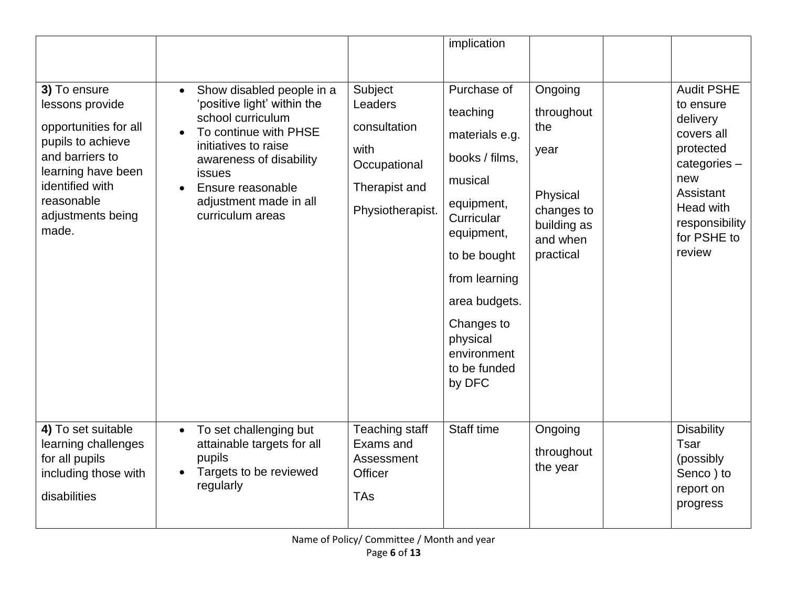|                                                                                                                                                                                       |                                                                                                                                                                                                                                                            |                                                                                                 | implication                                                                                                                                                                                                                           |                                                                                                        |                                                                                                                                                                  |
|---------------------------------------------------------------------------------------------------------------------------------------------------------------------------------------|------------------------------------------------------------------------------------------------------------------------------------------------------------------------------------------------------------------------------------------------------------|-------------------------------------------------------------------------------------------------|---------------------------------------------------------------------------------------------------------------------------------------------------------------------------------------------------------------------------------------|--------------------------------------------------------------------------------------------------------|------------------------------------------------------------------------------------------------------------------------------------------------------------------|
| 3) To ensure<br>lessons provide<br>opportunities for all<br>pupils to achieve<br>and barriers to<br>learning have been<br>identified with<br>reasonable<br>adjustments being<br>made. | Show disabled people in a<br>$\bullet$<br>'positive light' within the<br>school curriculum<br>To continue with PHSE<br>initiatives to raise<br>awareness of disability<br><b>issues</b><br>Ensure reasonable<br>adjustment made in all<br>curriculum areas | Subject<br>Leaders<br>consultation<br>with<br>Occupational<br>Therapist and<br>Physiotherapist. | Purchase of<br>teaching<br>materials e.g.<br>books / films,<br>musical<br>equipment,<br>Curricular<br>equipment,<br>to be bought<br>from learning<br>area budgets.<br>Changes to<br>physical<br>environment<br>to be funded<br>by DFC | Ongoing<br>throughout<br>the<br>year<br>Physical<br>changes to<br>building as<br>and when<br>practical | <b>Audit PSHE</b><br>to ensure<br>delivery<br>covers all<br>protected<br>categories-<br>new<br>Assistant<br>Head with<br>responsibility<br>for PSHE to<br>review |
| 4) To set suitable<br>learning challenges<br>for all pupils<br>including those with<br>disabilities                                                                                   | To set challenging but<br>$\bullet$<br>attainable targets for all<br>pupils<br>Targets to be reviewed<br>$\bullet$<br>regularly                                                                                                                            | <b>Teaching staff</b><br>Exams and<br>Assessment<br><b>Officer</b><br><b>TAs</b>                | Staff time                                                                                                                                                                                                                            | Ongoing<br>throughout<br>the year                                                                      | <b>Disability</b><br>Tsar<br>(possibly<br>Senco) to<br>report on<br>progress                                                                                     |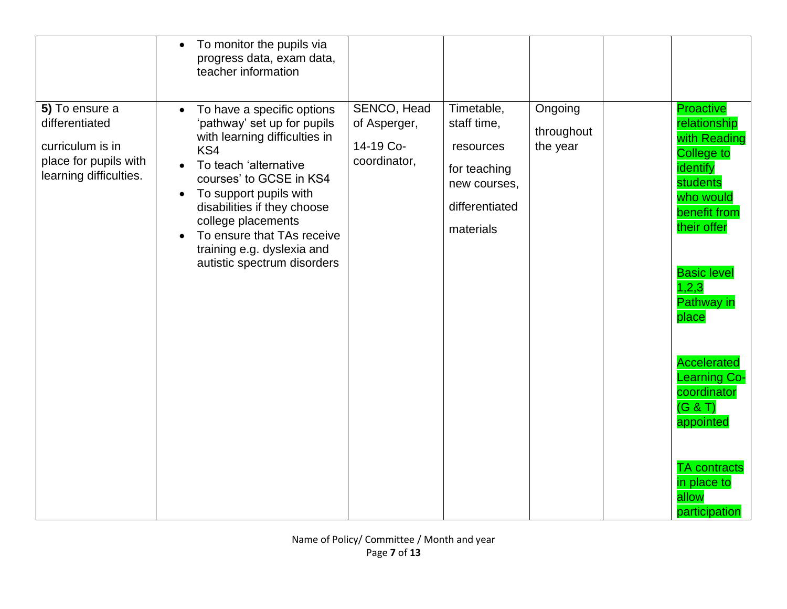|                                                                                                         | To monitor the pupils via<br>$\bullet$<br>progress data, exam data,<br>teacher information                                                                                                                                                                                                                                                                |                                                          |                                                                                                       |                                   |                                                                                                                                                                                                                                                                                                                                                              |
|---------------------------------------------------------------------------------------------------------|-----------------------------------------------------------------------------------------------------------------------------------------------------------------------------------------------------------------------------------------------------------------------------------------------------------------------------------------------------------|----------------------------------------------------------|-------------------------------------------------------------------------------------------------------|-----------------------------------|--------------------------------------------------------------------------------------------------------------------------------------------------------------------------------------------------------------------------------------------------------------------------------------------------------------------------------------------------------------|
| 5) To ensure a<br>differentiated<br>curriculum is in<br>place for pupils with<br>learning difficulties. | To have a specific options<br>$\bullet$<br>'pathway' set up for pupils<br>with learning difficulties in<br>KS4<br>To teach 'alternative<br>courses' to GCSE in KS4<br>To support pupils with<br>$\bullet$<br>disabilities if they choose<br>college placements<br>To ensure that TAs receive<br>training e.g. dyslexia and<br>autistic spectrum disorders | SENCO, Head<br>of Asperger,<br>14-19 Co-<br>coordinator, | Timetable,<br>staff time,<br>resources<br>for teaching<br>new courses,<br>differentiated<br>materials | Ongoing<br>throughout<br>the year | <b>Proactive</b><br>relationship<br>with Reading<br><b>College to</b><br>identify<br>students<br>who would<br>benefit from<br>their offer<br><b>Basic level</b><br>1, 2, 3<br><b>Pathway in</b><br>place<br><b>Accelerated</b><br><b>Learning Co-</b><br>coordinator<br>(G & T)<br>appointed<br><b>TA</b> contracts<br>in place to<br>allow<br>participation |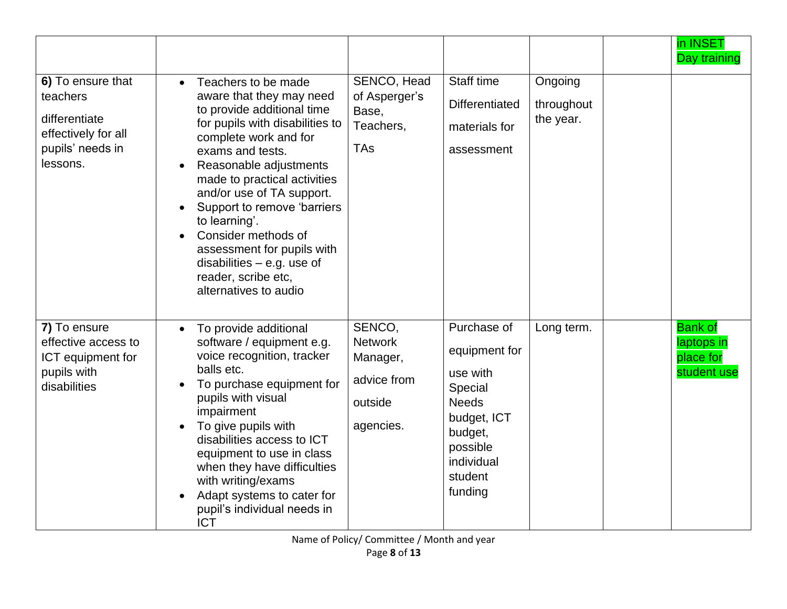|                                                                                                       |                                                                                                                                                                                                                                                                                                                                                                                                                                                                                  |                                                                             |                                                                                                                                               |                                    | in INSET<br>Day training                                 |
|-------------------------------------------------------------------------------------------------------|----------------------------------------------------------------------------------------------------------------------------------------------------------------------------------------------------------------------------------------------------------------------------------------------------------------------------------------------------------------------------------------------------------------------------------------------------------------------------------|-----------------------------------------------------------------------------|-----------------------------------------------------------------------------------------------------------------------------------------------|------------------------------------|----------------------------------------------------------|
| 6) To ensure that<br>teachers<br>differentiate<br>effectively for all<br>pupils' needs in<br>lessons. | Teachers to be made<br>$\bullet$<br>aware that they may need<br>to provide additional time<br>for pupils with disabilities to<br>complete work and for<br>exams and tests.<br>Reasonable adjustments<br>made to practical activities<br>and/or use of TA support.<br>Support to remove 'barriers<br>$\bullet$<br>to learning'.<br>Consider methods of<br>$\bullet$<br>assessment for pupils with<br>disabilities $-$ e.g. use of<br>reader, scribe etc,<br>alternatives to audio | SENCO, Head<br>of Asperger's<br>Base,<br>Teachers,<br><b>TAs</b>            | Staff time<br><b>Differentiated</b><br>materials for<br>assessment                                                                            | Ongoing<br>throughout<br>the year. |                                                          |
| 7) To ensure<br>effective access to<br>ICT equipment for<br>pupils with<br>disabilities               | To provide additional<br>$\bullet$<br>software / equipment e.g.<br>voice recognition, tracker<br>balls etc.<br>To purchase equipment for<br>pupils with visual<br>impairment<br>To give pupils with<br>$\bullet$<br>disabilities access to ICT<br>equipment to use in class<br>when they have difficulties<br>with writing/exams<br>Adapt systems to cater for<br>pupil's individual needs in<br><b>ICT</b>                                                                      | SENCO,<br><b>Network</b><br>Manager,<br>advice from<br>outside<br>agencies. | Purchase of<br>equipment for<br>use with<br>Special<br><b>Needs</b><br>budget, ICT<br>budget,<br>possible<br>individual<br>student<br>funding | Long term.                         | <b>Bank of</b><br>laptops in<br>place for<br>student use |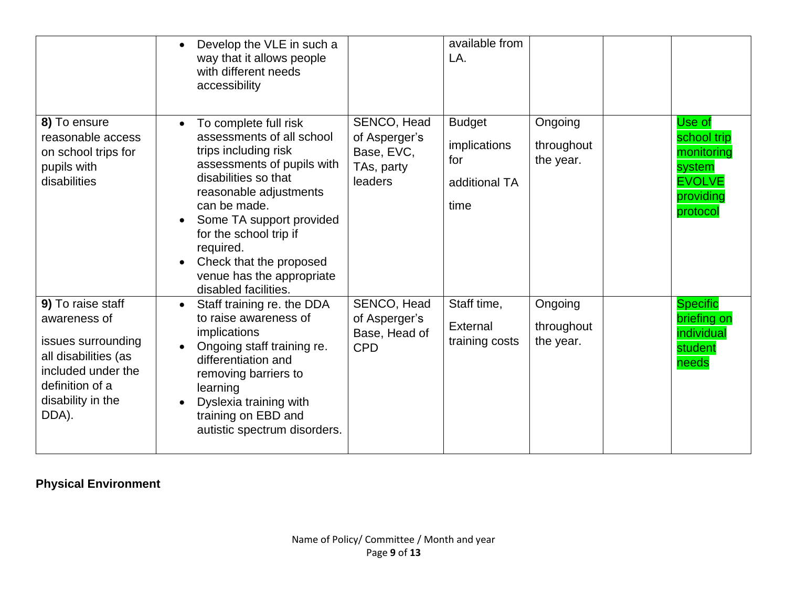|                                                                                                                                                        | Develop the VLE in such a<br>way that it allows people<br>with different needs<br>accessibility                                                                                                                                                                                                                               |                                                                     | available from<br>LA.                                         |                                    |                                                                                         |
|--------------------------------------------------------------------------------------------------------------------------------------------------------|-------------------------------------------------------------------------------------------------------------------------------------------------------------------------------------------------------------------------------------------------------------------------------------------------------------------------------|---------------------------------------------------------------------|---------------------------------------------------------------|------------------------------------|-----------------------------------------------------------------------------------------|
| 8) To ensure<br>reasonable access<br>on school trips for<br>pupils with<br>disabilities                                                                | To complete full risk<br>assessments of all school<br>trips including risk<br>assessments of pupils with<br>disabilities so that<br>reasonable adjustments<br>can be made.<br>Some TA support provided<br>for the school trip if<br>required.<br>Check that the proposed<br>venue has the appropriate<br>disabled facilities. | SENCO, Head<br>of Asperger's<br>Base, EVC,<br>TAs, party<br>leaders | <b>Budget</b><br>implications<br>for<br>additional TA<br>time | Ongoing<br>throughout<br>the year. | Use of<br>school trip<br>monitoring<br>system<br><b>EVOLVE</b><br>providing<br>protocol |
| 9) To raise staff<br>awareness of<br>issues surrounding<br>all disabilities (as<br>included under the<br>definition of a<br>disability in the<br>DDA). | Staff training re. the DDA<br>$\bullet$<br>to raise awareness of<br>implications<br>Ongoing staff training re.<br>differentiation and<br>removing barriers to<br>learning<br>Dyslexia training with<br>$\bullet$<br>training on EBD and<br>autistic spectrum disorders.                                                       | SENCO, Head<br>of Asperger's<br>Base, Head of<br><b>CPD</b>         | Staff time,<br>External<br>training costs                     | Ongoing<br>throughout<br>the year. | <b>Specific</b><br>briefing on<br>individual<br>student<br>needs                        |

# **Physical Environment**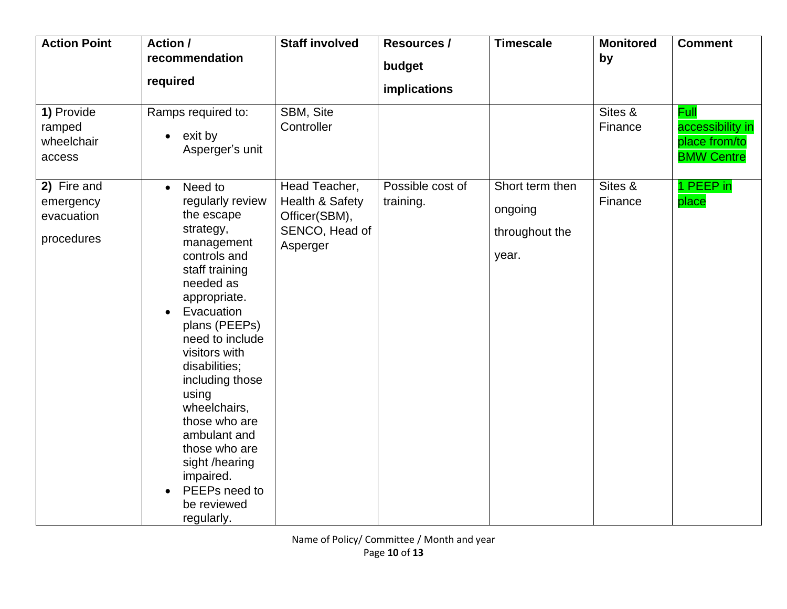| <b>Action Point</b>                                  | Action /<br>recommendation<br>required                                                                                                                                                                                                                                                                                                                                                                                                    | <b>Staff involved</b>                                                           | <b>Resources /</b><br>budget<br>implications | <b>Timescale</b>                                      | <b>Monitored</b><br>by | <b>Comment</b>                                                        |
|------------------------------------------------------|-------------------------------------------------------------------------------------------------------------------------------------------------------------------------------------------------------------------------------------------------------------------------------------------------------------------------------------------------------------------------------------------------------------------------------------------|---------------------------------------------------------------------------------|----------------------------------------------|-------------------------------------------------------|------------------------|-----------------------------------------------------------------------|
| 1) Provide<br>ramped<br>wheelchair<br>access         | Ramps required to:<br>exit by<br>$\bullet$<br>Asperger's unit                                                                                                                                                                                                                                                                                                                                                                             | SBM, Site<br>Controller                                                         |                                              |                                                       | Sites &<br>Finance     | <b>Full</b><br>accessibility in<br>place from/to<br><b>BMW Centre</b> |
| 2) Fire and<br>emergency<br>evacuation<br>procedures | Need to<br>$\bullet$<br>regularly review<br>the escape<br>strategy,<br>management<br>controls and<br>staff training<br>needed as<br>appropriate.<br>Evacuation<br>$\bullet$<br>plans (PEEPs)<br>need to include<br>visitors with<br>disabilities;<br>including those<br>using<br>wheelchairs,<br>those who are<br>ambulant and<br>those who are<br>sight /hearing<br>impaired.<br>PEEPs need to<br>$\bullet$<br>be reviewed<br>regularly. | Head Teacher,<br>Health & Safety<br>Officer(SBM),<br>SENCO, Head of<br>Asperger | Possible cost of<br>training.                | Short term then<br>ongoing<br>throughout the<br>year. | Sites &<br>Finance     | 1 PEEP in<br>place                                                    |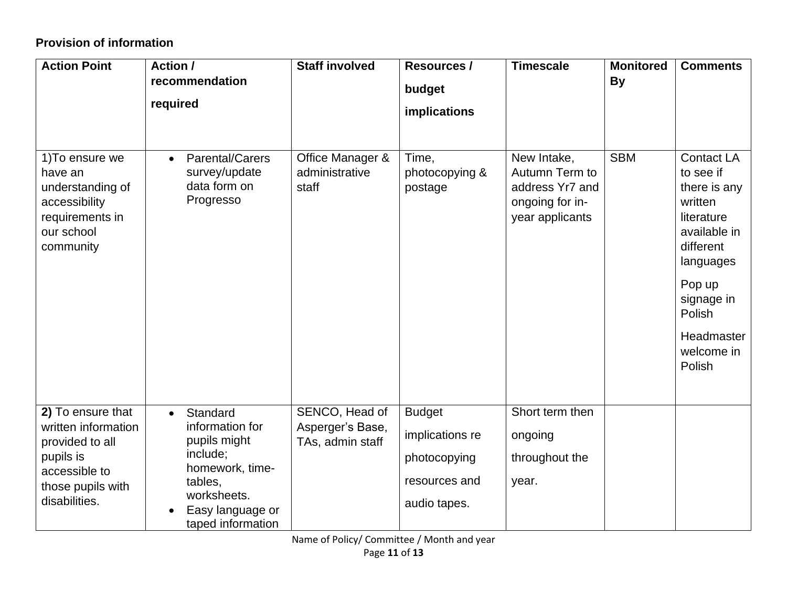# **Provision of information**

| <b>Action Point</b>                                                                                                             | Action /<br>recommendation<br>required                                                                                                                     | <b>Staff involved</b>                                  | <b>Resources /</b><br>budget<br>implications                                      | <b>Timescale</b>                                                                       | <b>Monitored</b><br><b>By</b> | <b>Comments</b>                                                                                                                                                                           |
|---------------------------------------------------------------------------------------------------------------------------------|------------------------------------------------------------------------------------------------------------------------------------------------------------|--------------------------------------------------------|-----------------------------------------------------------------------------------|----------------------------------------------------------------------------------------|-------------------------------|-------------------------------------------------------------------------------------------------------------------------------------------------------------------------------------------|
| 1) To ensure we<br>have an<br>understanding of<br>accessibility<br>requirements in<br>our school<br>community                   | <b>Parental/Carers</b><br>$\bullet$<br>survey/update<br>data form on<br>Progresso                                                                          | Office Manager &<br>administrative<br>staff            | Time,<br>photocopying &<br>postage                                                | New Intake,<br>Autumn Term to<br>address Yr7 and<br>ongoing for in-<br>year applicants | <b>SBM</b>                    | <b>Contact LA</b><br>to see if<br>there is any<br>written<br>literature<br>available in<br>different<br>languages<br>Pop up<br>signage in<br>Polish<br>Headmaster<br>welcome in<br>Polish |
| 2) To ensure that<br>written information<br>provided to all<br>pupils is<br>accessible to<br>those pupils with<br>disabilities. | Standard<br>$\bullet$<br>information for<br>pupils might<br>include;<br>homework, time-<br>tables,<br>worksheets.<br>Easy language or<br>taped information | SENCO, Head of<br>Asperger's Base,<br>TAs, admin staff | <b>Budget</b><br>implications re<br>photocopying<br>resources and<br>audio tapes. | Short term then<br>ongoing<br>throughout the<br>year.                                  |                               |                                                                                                                                                                                           |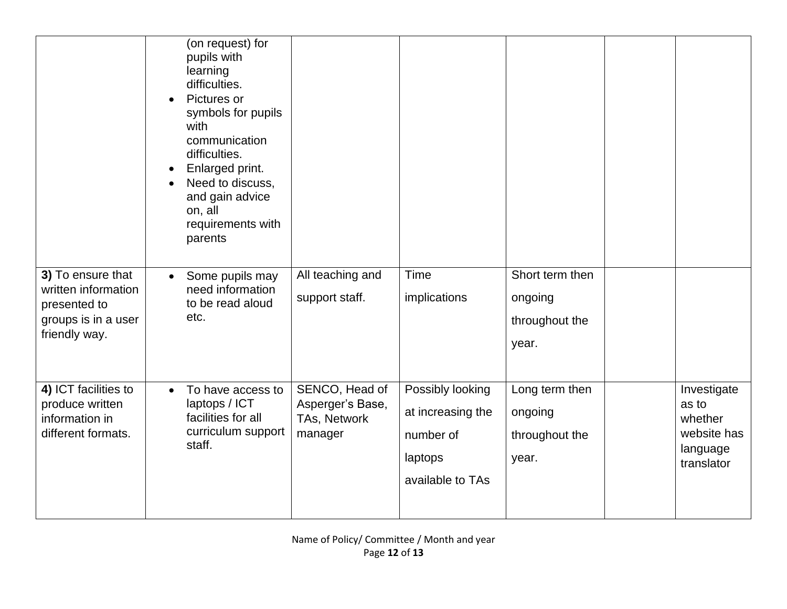|                                                                                                  | (on request) for<br>pupils with<br>learning<br>difficulties.<br>Pictures or<br>symbols for pupils<br>with<br>communication<br>difficulties.<br>Enlarged print.<br>Need to discuss,<br>and gain advice<br>on, all<br>requirements with<br>parents |                                                               |                                                                                   |                                                       |                                                                          |
|--------------------------------------------------------------------------------------------------|--------------------------------------------------------------------------------------------------------------------------------------------------------------------------------------------------------------------------------------------------|---------------------------------------------------------------|-----------------------------------------------------------------------------------|-------------------------------------------------------|--------------------------------------------------------------------------|
| 3) To ensure that<br>written information<br>presented to<br>groups is in a user<br>friendly way. | Some pupils may<br>$\bullet$<br>need information<br>to be read aloud<br>etc.                                                                                                                                                                     | All teaching and<br>support staff.                            | Time<br>implications                                                              | Short term then<br>ongoing<br>throughout the<br>year. |                                                                          |
| 4) ICT facilities to<br>produce written<br>information in<br>different formats.                  | To have access to<br>$\bullet$<br>laptops / ICT<br>facilities for all<br>curriculum support<br>staff.                                                                                                                                            | SENCO, Head of<br>Asperger's Base,<br>TAs, Network<br>manager | Possibly looking<br>at increasing the<br>number of<br>laptops<br>available to TAs | Long term then<br>ongoing<br>throughout the<br>year.  | Investigate<br>as to<br>whether<br>website has<br>language<br>translator |